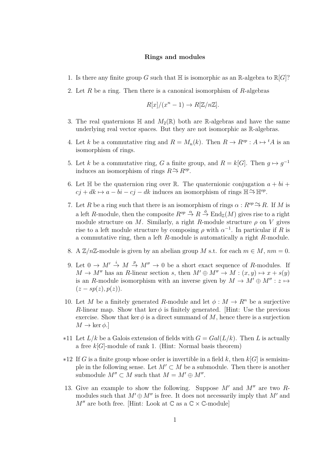## **Rings and modules**

- 1. Is there any finite group *G* such that  $\mathbb{H}$  is isomorphic as an R-algebra to  $\mathbb{R}[G]$ ?
- 2. Let *R* be a ring. Then there is a canonical isomorphism of *R*-algebras

$$
R[x]/(x^n - 1) \to R[\mathbb{Z}/n\mathbb{Z}].
$$

- 3. The real quaternions  $\mathbb H$  and  $M_2(\mathbb{R})$  both are R-algebras and have the same underlying real vector spaces. But they are not isomorphic as R-algebras.
- 4. Let *k* be a commutative ring and  $R = M_n(k)$ . Then  $R \to R^{op}: A \mapsto {}^t A$  is an isomorphism of rings.
- 5. Let *k* be a commutative ring, *G* a finite group, and  $R = k[G]$ . Then  $g \mapsto g^{-1}$ induces an isomorphism of rings  $R \to R^{\circ p}$ .
- 6. Let  $\mathbb H$  be the quaternion ring over  $\mathbb R$ . The quaternionic conjugation  $a + bi + j$  $c_j + dk \mapsto a - bi - cj - dk$  induces an isomorphism of rings  $\mathbb{H} \to \mathbb{H}^{op}$ .
- 7. Let *R* be a ring such that there is an isomorphism of rings  $\alpha$  :  $R^{op} \to R$ . If *M* is a left *R*-module, then the composite  $R^{op} \stackrel{\alpha}{\to} R \stackrel{\phi}{\to} \text{End}_{\mathbb{Z}}(M)$  gives rise to a right module structure on *M*. Similarly, a right *R*-module structure  $\rho$  on *V* gives rise to a left module structure by composing  $\rho$  with  $\alpha^{-1}$ . In particular if *R* is a commutative ring, then a left *R*-module is automatically a right *R*-module.
- 8. A  $\mathbb{Z}/n\mathbb{Z}$ -module is given by an abelian group *M* s.t. for each  $m \in M$ ,  $nm = 0$ .
- 9. Let  $0 \to M' \stackrel{i}{\to} M \stackrel{p}{\to} M'' \to 0$  be a short exact sequence of *R*-modules. If  $M \to M''$  has an *R*-linear section *s*, then  $M' \oplus M'' \to M : (x, y) \mapsto x + s(y)$ is an *R*-module isomorphism with an inverse given by  $M \to M' \oplus M'' : z \mapsto$  $(z - sp(z), p(z)).$
- 10. Let *M* be a finitely generated *R*-module and let  $\phi : M \to R^n$  be a surjective *R*-linear map. Show that ker  $\phi$  is finitely generated. [Hint: Use the previous exercise. Show that ker  $\phi$  is a direct summand of M, hence there is a surjection  $M \to \ker \phi$ .
- $*11$  Let  $L/k$  be a Galois extension of fields with  $G = Gal(L/k)$ . Then L is actually a free *k*[*G*]-module of rank 1. (Hint: Normal basis theorem)
- ∗12 If *G* is a finite group whose order is invertible in a field *k*, then *k*[*G*] is semisimple in the following sense. Let  $M' \subset M$  be a submodule. Then there is another submodule  $M'' \subset M$  such that  $M = M' \oplus M''$ .
- 13. Give an example to show the following. Suppose  $M'$  and  $M''$  are two  $R$ modules such that  $M' \oplus M''$  is free. It does not necessarily imply that  $M'$  and  $M''$  are both free. [Hint: Look at  $\mathbb C$  as a  $\mathbb C \times \mathbb C$ -module]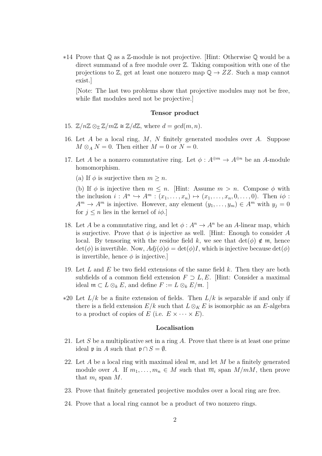∗14 Prove that Q as a Z-module is not projective. [Hint: Otherwise Q would be a direct summand of a free module over Z. Taking composition with one of the projections to  $\mathbb{Z}$ , get at least one nonzero map  $\mathbb{Q} \to ZZ$ . Such a map cannot exist.]

[Note: The last two problems show that projective modules may not be free, while flat modules need not be projective.]

## **Tensor product**

- 15.  $\mathbb{Z}/n\mathbb{Z} \otimes_{\mathbb{Z}} \mathbb{Z}/m\mathbb{Z} \cong \mathbb{Z}/d\mathbb{Z}$ , where  $d = qcd(m, n)$ .
- 16. Let *A* be a local ring, *M*, *N* finitely generated modules over *A*. Suppose  $M \otimes_A N = 0$ . Then either  $M = 0$  or  $N = 0$ .
- 17. Let *A* be a nonzero commutative ring. Let  $\phi: A^{\oplus m} \to A^{\oplus n}$  be an *A*-module homomorphism.
	- (a) If  $\phi$  is surjective then  $m \geq n$ .

(b) If  $\phi$  is injective then  $m \leq n$ . [Hint: Assume  $m > n$ . Compose  $\phi$  with the inclusion  $i: A^n \hookrightarrow A^m : (x_1, \ldots, x_n) \mapsto (x_1, \ldots, x_n, 0, \ldots, 0)$ . Then  $i\phi$ :  $A^m \to A^m$  is injective. However, any element  $(y_1, \ldots, y_m) \in A^m$  with  $y_j = 0$ for  $j \leq n$  lies in the kernel of  $i\phi$ .

- 18. Let *A* be a commutative ring, and let  $\phi : A^n \to A^n$  be an *A*-linear map, which is surjective. Prove that  $\phi$  is injective as well. [Hint: Enough to consider A local. By tensoring with the residue field k, we see that  $det(\phi) \notin \mathfrak{m}$ , hence  $\det(\phi)$  is invertible. Now,  $Adj(\phi)\phi = \det(\phi)I$ , which is injective because  $\det(\phi)$ is invertible, hence  $\phi$  is injective.
- 19. Let *L* and *E* be two field extensions of the same field *k*. Then they are both subfields of a common field extension  $F \supset L, E$ . [Hint: Consider a maximal ideal  $m ⊂ L ⊗_k E$ , and define  $F := L ⊗_k E/m$ . ]
- ∗20 Let *L/k* be a finite extension of fields. Then *L/k* is separable if and only if there is a field extension  $E/k$  such that  $L \otimes_K E$  is isomorphic as an *E*-algebra to a product of copies of *E* (i.e.  $E \times \cdots \times E$ ).

## **Localisation**

- 21. Let *S* be a multiplicative set in a ring *A*. Prove that there is at least one prime ideal p in *A* such that  $p \cap S = \emptyset$ .
- 22. Let *A* be a local ring with maximal ideal m, and let *M* be a finitely generated module over *A*. If  $m_1, \ldots, m_n \in M$  such that  $\overline{m}_i$  span  $M/mM$ , then prove that  $m_i$  span  $M$ .
- 23. Prove that finitely generated projective modules over a local ring are free.
- 24. Prove that a local ring cannot be a product of two nonzero rings.